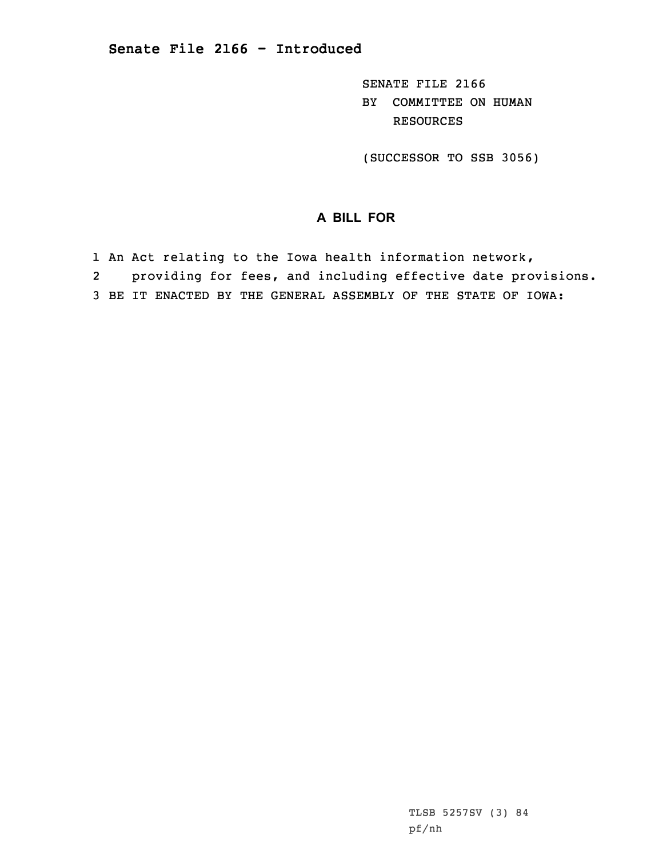SENATE FILE 2166 BY COMMITTEE ON HUMAN RESOURCES

(SUCCESSOR TO SSB 3056)

## **A BILL FOR**

- 1 An Act relating to the Iowa health information network,
- 2providing for fees, and including effective date provisions.
- 3 BE IT ENACTED BY THE GENERAL ASSEMBLY OF THE STATE OF IOWA: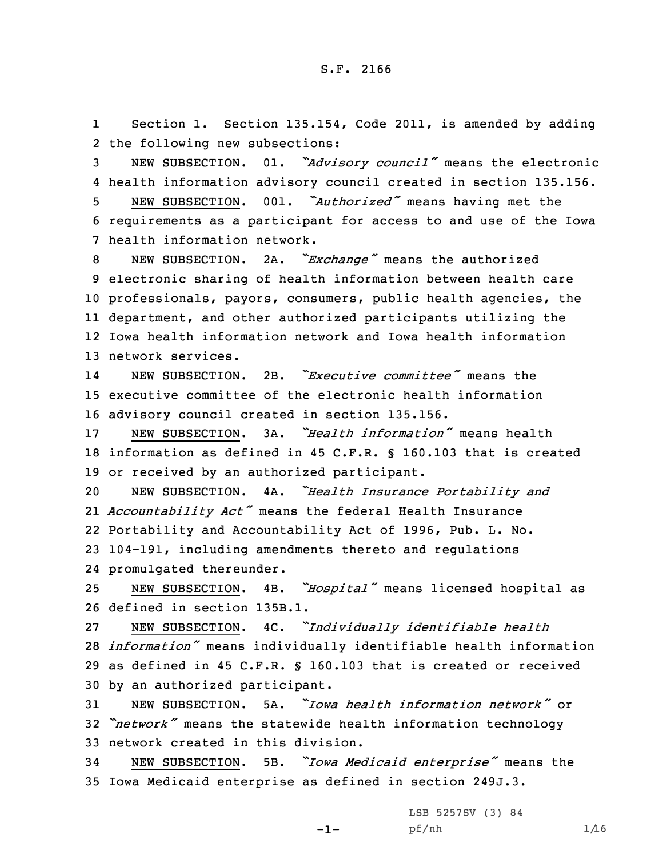1 Section 1. Section 135.154, Code 2011, is amended by adding 2 the following new subsections:

<sup>3</sup> NEW SUBSECTION. 01. *"Advisory council"* means the electronic 4 health information advisory council created in section 135.156.

<sup>5</sup> NEW SUBSECTION. 001. *"Authorized"* means having met the 6 requirements as <sup>a</sup> participant for access to and use of the Iowa 7 health information network.

 NEW SUBSECTION. 2A. *"Exchange"* means the authorized electronic sharing of health information between health care professionals, payors, consumers, public health agencies, the department, and other authorized participants utilizing the Iowa health information network and Iowa health information network services.

14 NEW SUBSECTION. 2B. *"Executive committee"* means the 15 executive committee of the electronic health information 16 advisory council created in section 135.156.

17 NEW SUBSECTION. 3A. *"Health information"* means health 18 information as defined in 45 C.F.R. § 160.103 that is created 19 or received by an authorized participant.

 NEW SUBSECTION. 4A. *"Health Insurance Portability and Accountability Act"* means the federal Health Insurance Portability and Accountability Act of 1996, Pub. L. No. 104-191, including amendments thereto and regulations promulgated thereunder.

<sup>25</sup> NEW SUBSECTION. 4B. *"Hospital"* means licensed hospital as 26 defined in section 135B.1.

 NEW SUBSECTION. 4C. *"Individually identifiable health information"* means individually identifiable health information as defined in 45 C.F.R. § 160.103 that is created or received by an authorized participant.

31 NEW SUBSECTION. 5A. *"Iowa health information network"* or <sup>32</sup> *"network"* means the statewide health information technology 33 network created in this division.

<sup>34</sup> NEW SUBSECTION. 5B. *"Iowa Medicaid enterprise"* means the 35 Iowa Medicaid enterprise as defined in section 249J.3.

-1-

LSB 5257SV (3) 84 pf/nh 1/16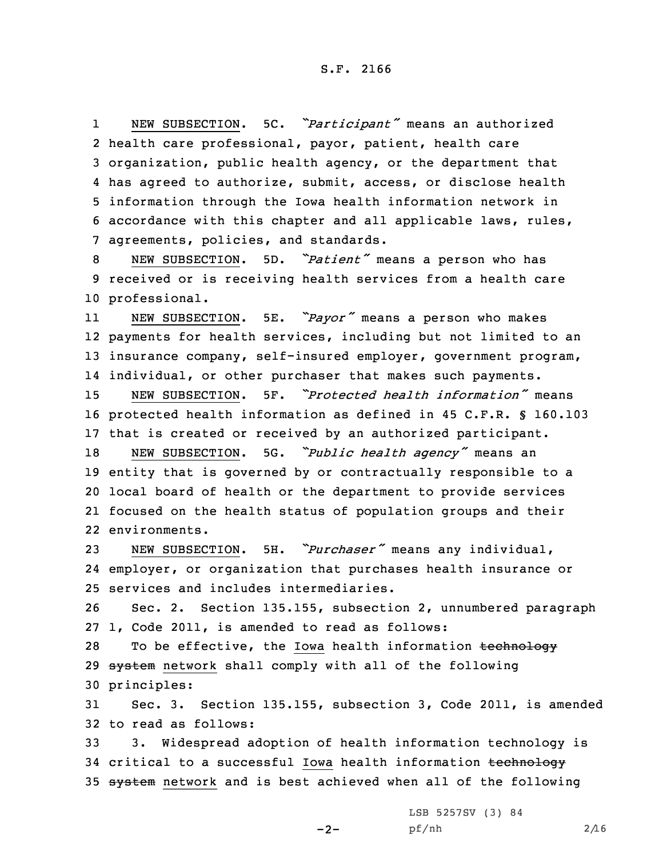1 NEW SUBSECTION. 5C. *"Participant"* means an authorized health care professional, payor, patient, health care organization, public health agency, or the department that has agreed to authorize, submit, access, or disclose health information through the Iowa health information network in accordance with this chapter and all applicable laws, rules, agreements, policies, and standards.

<sup>8</sup> NEW SUBSECTION. 5D. *"Patient"* means <sup>a</sup> person who has 9 received or is receiving health services from <sup>a</sup> health care 10 professional.

11 NEW SUBSECTION. 5E. *"Payor"* means <sup>a</sup> person who makes 12 payments for health services, including but not limited to an 13 insurance company, self-insured employer, government program, 14 individual, or other purchaser that makes such payments.

15 NEW SUBSECTION. 5F. *"Protected health information"* means 16 protected health information as defined in 45 C.F.R. § 160.103 17 that is created or received by an authorized participant.

 NEW SUBSECTION. 5G. *"Public health agency"* means an entity that is governed by or contractually responsible to <sup>a</sup> local board of health or the department to provide services focused on the health status of population groups and their environments.

<sup>23</sup> NEW SUBSECTION. 5H. *"Purchaser"* means any individual, 24 employer, or organization that purchases health insurance or 25 services and includes intermediaries.

26 Sec. 2. Section 135.155, subsection 2, unnumbered paragraph 27 1, Code 2011, is amended to read as follows:

28 To be effective, the Iowa health information technology 29 system network shall comply with all of the following 30 principles:

31 Sec. 3. Section 135.155, subsection 3, Code 2011, is amended 32 to read as follows:

33 3. Widespread adoption of health information technology is 34 critical to a successful Iowa health information technology 35 system network and is best achieved when all of the following

 $-2-$ 

LSB 5257SV (3) 84 pf/nh 2/16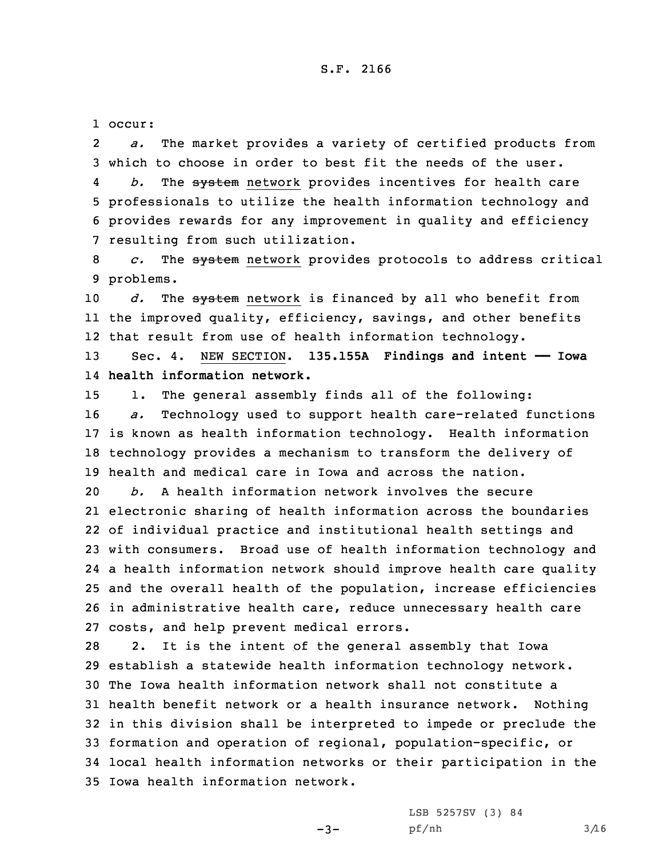## S.F. 2166

1 occur:

2 *a.* The market provides <sup>a</sup> variety of certified products from 3 which to choose in order to best fit the needs of the user.

4 *b.* The system network provides incentives for health care 5 professionals to utilize the health information technology and 6 provides rewards for any improvement in quality and efficiency 7 resulting from such utilization.

8 *c.* The system network provides protocols to address critical 9 problems.

10 *d.* The system network is financed by all who benefit from 11 the improved quality, efficiency, savings, and other benefits 12 that result from use of health information technology.

13 Sec. 4. NEW SECTION. **135.155A Findings and intent —— Iowa** 14 **health information network.**

 1. The general assembly finds all of the following: *a.* Technology used to support health care-related functions is known as health information technology. Health information technology provides <sup>a</sup> mechanism to transform the delivery of health and medical care in Iowa and across the nation.

 *b.* A health information network involves the secure electronic sharing of health information across the boundaries of individual practice and institutional health settings and with consumers. Broad use of health information technology and <sup>a</sup> health information network should improve health care quality and the overall health of the population, increase efficiencies in administrative health care, reduce unnecessary health care costs, and help prevent medical errors.

 2. It is the intent of the general assembly that Iowa establish <sup>a</sup> statewide health information technology network. The Iowa health information network shall not constitute <sup>a</sup> health benefit network or <sup>a</sup> health insurance network. Nothing in this division shall be interpreted to impede or preclude the formation and operation of regional, population-specific, or local health information networks or their participation in the Iowa health information network.

-3-

LSB 5257SV (3) 84 pf/nh 3/16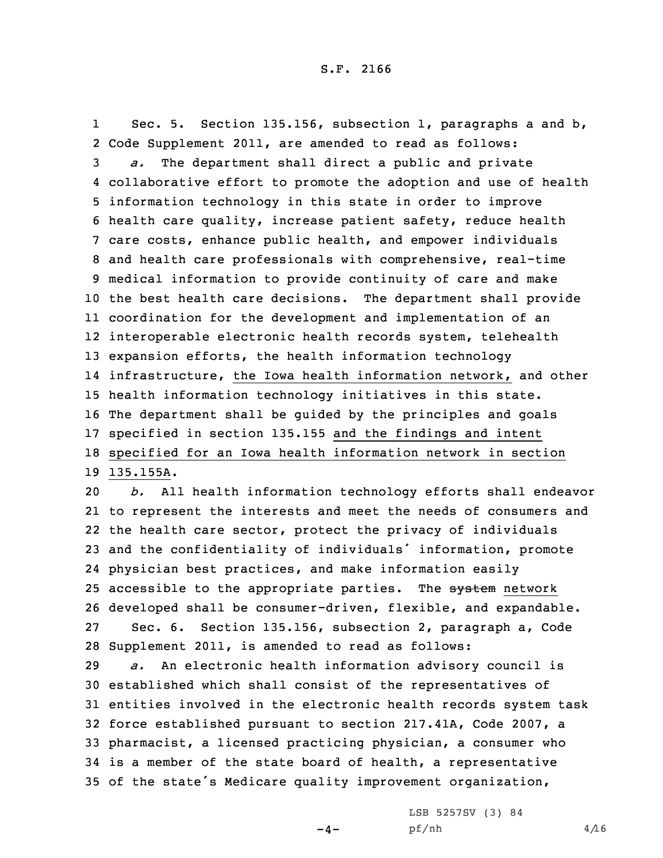1 Sec. 5. Section 135.156, subsection 1, paragraphs <sup>a</sup> and b, Code Supplement 2011, are amended to read as follows: *a.* The department shall direct <sup>a</sup> public and private collaborative effort to promote the adoption and use of health information technology in this state in order to improve health care quality, increase patient safety, reduce health care costs, enhance public health, and empower individuals and health care professionals with comprehensive, real-time medical information to provide continuity of care and make the best health care decisions. The department shall provide coordination for the development and implementation of an interoperable electronic health records system, telehealth expansion efforts, the health information technology infrastructure, the Iowa health information network, and other health information technology initiatives in this state. The department shall be guided by the principles and goals specified in section 135.155 and the findings and intent specified for an Iowa health information network in section 135.155A.

 *b.* All health information technology efforts shall endeavor to represent the interests and meet the needs of consumers and the health care sector, protect the privacy of individuals and the confidentiality of individuals' information, promote physician best practices, and make information easily 25 accessible to the appropriate parties. The system network developed shall be consumer-driven, flexible, and expandable. Sec. 6. Section 135.156, subsection 2, paragraph a, Code Supplement 2011, is amended to read as follows:

 *a.* An electronic health information advisory council is established which shall consist of the representatives of entities involved in the electronic health records system task force established pursuant to section 217.41A, Code 2007, <sup>a</sup> pharmacist, <sup>a</sup> licensed practicing physician, <sup>a</sup> consumer who is <sup>a</sup> member of the state board of health, <sup>a</sup> representative of the state's Medicare quality improvement organization,

 $-4-$ 

LSB 5257SV (3) 84  $pf/nh$  4/16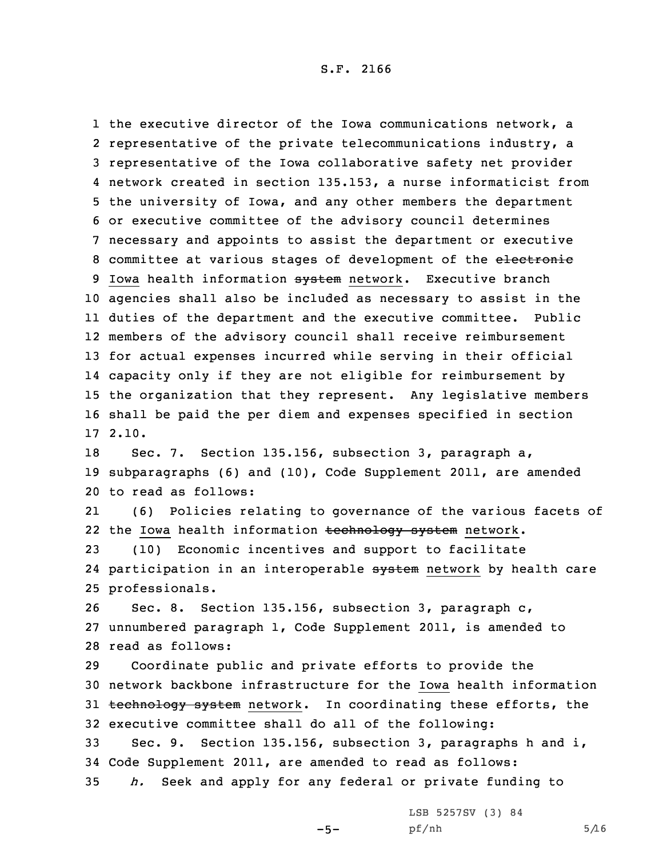## S.F. 2166

 the executive director of the Iowa communications network, <sup>a</sup> 2 representative of the private telecommunications industry, a representative of the Iowa collaborative safety net provider network created in section 135.153, <sup>a</sup> nurse informaticist from the university of Iowa, and any other members the department or executive committee of the advisory council determines necessary and appoints to assist the department or executive 8 committee at various stages of development of the electronic 9 Iowa health information system network. Executive branch agencies shall also be included as necessary to assist in the duties of the department and the executive committee. Public members of the advisory council shall receive reimbursement for actual expenses incurred while serving in their official capacity only if they are not eligible for reimbursement by the organization that they represent. Any legislative members shall be paid the per diem and expenses specified in section 17 2.10.

18 Sec. 7. Section 135.156, subsection 3, paragraph a, 19 subparagraphs (6) and (10), Code Supplement 2011, are amended 20 to read as follows:

21 (6) Policies relating to governance of the various facets of 22 the Iowa health information <del>technology system</del> network.

23 (10) Economic incentives and support to facilitate 24 participation in an interoperable <del>system</del> network by health care 25 professionals.

26 Sec. 8. Section 135.156, subsection 3, paragraph c, 27 unnumbered paragraph 1, Code Supplement 2011, is amended to 28 read as follows:

 Coordinate public and private efforts to provide the network backbone infrastructure for the Iowa health information 31 technology system network. In coordinating these efforts, the executive committee shall do all of the following:

33 Sec. 9. Section 135.156, subsection 3, paragraphs h and i, 34 Code Supplement 2011, are amended to read as follows: 35 *h.* Seek and apply for any federal or private funding to

 $-5-$ 

LSB 5257SV (3) 84  $pf/nh$  5/16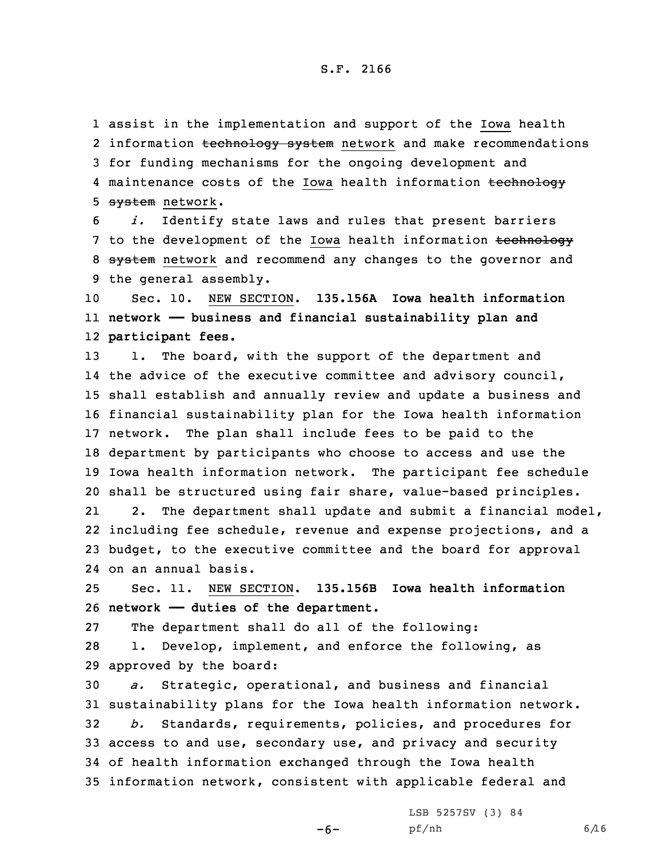1 assist in the implementation and support of the Iowa health 2 information <del>technology system</del> network and make recommendations 3 for funding mechanisms for the ongoing development and 4 maintenance costs of the Iowa health information <del>technology</del> 5 system network.

6 *i.* Identify state laws and rules that present barriers 7 to the development of the Iowa health information technology 8 system network and recommend any changes to the governor and 9 the general assembly.

10 Sec. 10. NEW SECTION. **135.156A Iowa health information** 11 **network —— business and financial sustainability plan and** 12 **participant fees.**

13 1. The board, with the support of the department and the advice of the executive committee and advisory council, shall establish and annually review and update <sup>a</sup> business and financial sustainability plan for the Iowa health information network. The plan shall include fees to be paid to the department by participants who choose to access and use the Iowa health information network. The participant fee schedule shall be structured using fair share, value-based principles. 212. The department shall update and submit <sup>a</sup> financial model,

22 including fee schedule, revenue and expense projections, and <sup>a</sup> 23 budget, to the executive committee and the board for approval 24 on an annual basis.

25 Sec. 11. NEW SECTION. **135.156B Iowa health information** 26 **network —— duties of the department.**

27 The department shall do all of the following:

28 1. Develop, implement, and enforce the following, as 29 approved by the board:

 *a.* Strategic, operational, and business and financial sustainability plans for the Iowa health information network. *b.* Standards, requirements, policies, and procedures for access to and use, secondary use, and privacy and security of health information exchanged through the Iowa health information network, consistent with applicable federal and

-6-

LSB 5257SV (3) 84 pf/nh 6/16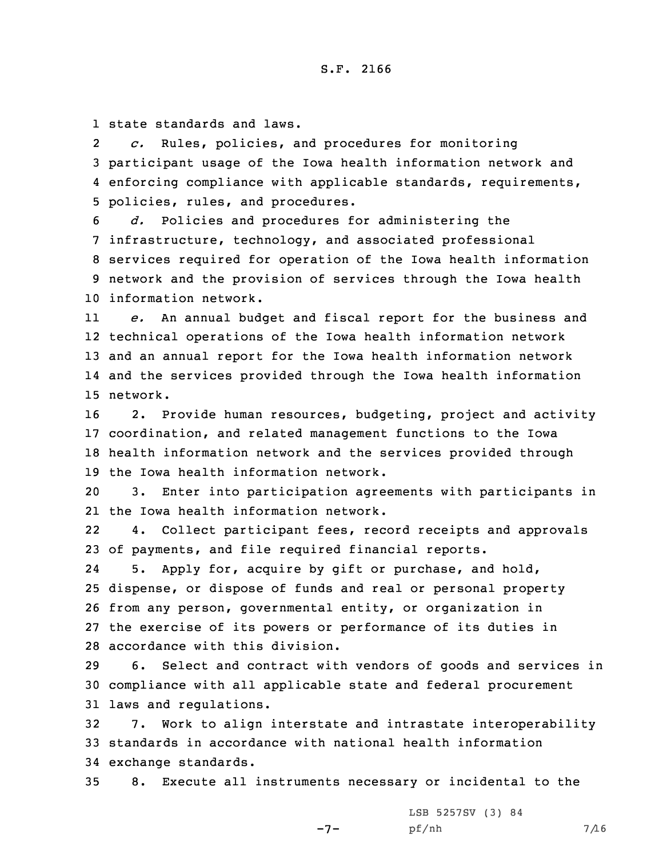1 state standards and laws.

2 *c.* Rules, policies, and procedures for monitoring 3 participant usage of the Iowa health information network and 4 enforcing compliance with applicable standards, requirements, 5 policies, rules, and procedures.

 *d.* Policies and procedures for administering the infrastructure, technology, and associated professional services required for operation of the Iowa health information network and the provision of services through the Iowa health information network.

11 *e.* An annual budget and fiscal report for the business and 12 technical operations of the Iowa health information network 13 and an annual report for the Iowa health information network 14 and the services provided through the Iowa health information 15 network.

 2. Provide human resources, budgeting, project and activity coordination, and related management functions to the Iowa health information network and the services provided through the Iowa health information network.

20 3. Enter into participation agreements with participants in 21 the Iowa health information network.

22 4. Collect participant fees, record receipts and approvals 23 of payments, and file required financial reports.

24 5. Apply for, acquire by gift or purchase, and hold, dispense, or dispose of funds and real or personal property from any person, governmental entity, or organization in the exercise of its powers or performance of its duties in accordance with this division.

29 6. Select and contract with vendors of goods and services in 30 compliance with all applicable state and federal procurement 31 laws and regulations.

32 7. Work to align interstate and intrastate interoperability 33 standards in accordance with national health information 34 exchange standards.

35 8. Execute all instruments necessary or incidental to the

 $-7-$ 

LSB 5257SV (3) 84 pf/nh 7/16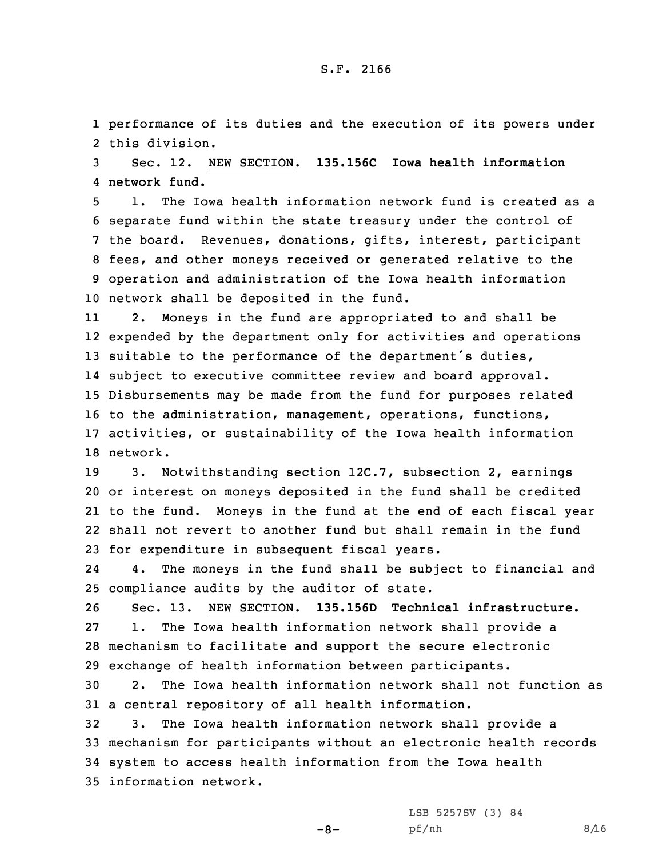1 performance of its duties and the execution of its powers under 2 this division.

3 Sec. 12. NEW SECTION. **135.156C Iowa health information** 4 **network fund.**

 1. The Iowa health information network fund is created as <sup>a</sup> separate fund within the state treasury under the control of the board. Revenues, donations, gifts, interest, participant fees, and other moneys received or generated relative to the operation and administration of the Iowa health information network shall be deposited in the fund.

11 2. Moneys in the fund are appropriated to and shall be 12 expended by the department only for activities and operations 13 suitable to the performance of the department's duties, 14 subject to executive committee review and board approval. 15 Disbursements may be made from the fund for purposes related 16 to the administration, management, operations, functions, 17 activities, or sustainability of the Iowa health information 18 network.

 3. Notwithstanding section 12C.7, subsection 2, earnings or interest on moneys deposited in the fund shall be credited to the fund. Moneys in the fund at the end of each fiscal year shall not revert to another fund but shall remain in the fund for expenditure in subsequent fiscal years.

24 4. The moneys in the fund shall be subject to financial and 25 compliance audits by the auditor of state.

 Sec. 13. NEW SECTION. **135.156D Technical infrastructure.** 1. The Iowa health information network shall provide <sup>a</sup> mechanism to facilitate and support the secure electronic exchange of health information between participants.

30 2. The Iowa health information network shall not function as 31 <sup>a</sup> central repository of all health information.

 3. The Iowa health information network shall provide <sup>a</sup> mechanism for participants without an electronic health records system to access health information from the Iowa health information network.

-8-

LSB 5257SV (3) 84 pf/nh 8/16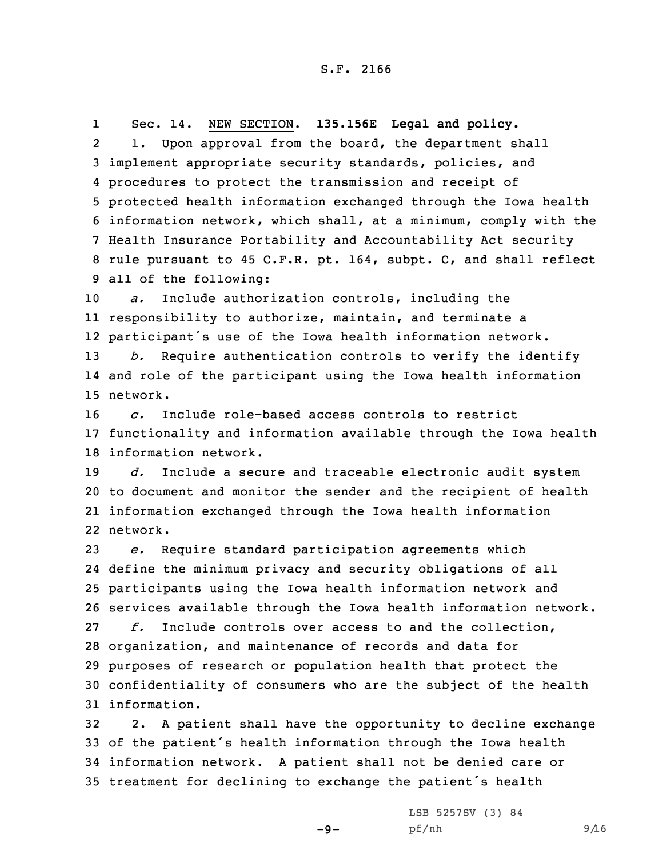1 Sec. 14. NEW SECTION. **135.156E Legal and policy.** 2 1. Upon approval from the board, the department shall implement appropriate security standards, policies, and procedures to protect the transmission and receipt of protected health information exchanged through the Iowa health information network, which shall, at <sup>a</sup> minimum, comply with the Health Insurance Portability and Accountability Act security rule pursuant to 45 C.F.R. pt. 164, subpt. C, and shall reflect all of the following:

 *a.* Include authorization controls, including the responsibility to authorize, maintain, and terminate <sup>a</sup> participant's use of the Iowa health information network. *b.* Require authentication controls to verify the identify and role of the participant using the Iowa health information

15 network.

16 *c.* Include role-based access controls to restrict 17 functionality and information available through the Iowa health 18 information network.

 *d.* Include <sup>a</sup> secure and traceable electronic audit system to document and monitor the sender and the recipient of health information exchanged through the Iowa health information 22 network.

 *e.* Require standard participation agreements which define the minimum privacy and security obligations of all participants using the Iowa health information network and services available through the Iowa health information network. *f.* Include controls over access to and the collection, organization, and maintenance of records and data for purposes of research or population health that protect the confidentiality of consumers who are the subject of the health information.

 2. <sup>A</sup> patient shall have the opportunity to decline exchange of the patient's health information through the Iowa health information network. <sup>A</sup> patient shall not be denied care or treatment for declining to exchange the patient's health

 $-9-$ 

LSB 5257SV (3) 84 pf/nh 9/16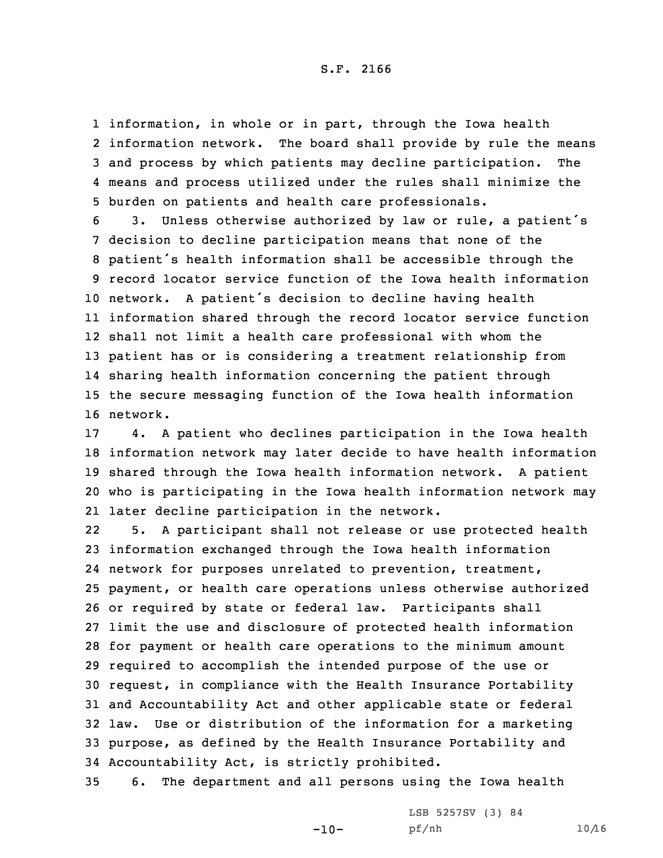## S.F. 2166

 information, in whole or in part, through the Iowa health information network. The board shall provide by rule the means and process by which patients may decline participation. The means and process utilized under the rules shall minimize the burden on patients and health care professionals.

 3. Unless otherwise authorized by law or rule, <sup>a</sup> patient's decision to decline participation means that none of the patient's health information shall be accessible through the record locator service function of the Iowa health information network. <sup>A</sup> patient's decision to decline having health information shared through the record locator service function shall not limit <sup>a</sup> health care professional with whom the patient has or is considering <sup>a</sup> treatment relationship from sharing health information concerning the patient through the secure messaging function of the Iowa health information 16 network.

 4. <sup>A</sup> patient who declines participation in the Iowa health information network may later decide to have health information shared through the Iowa health information network. <sup>A</sup> patient who is participating in the Iowa health information network may later decline participation in the network.

22 5. <sup>A</sup> participant shall not release or use protected health information exchanged through the Iowa health information network for purposes unrelated to prevention, treatment, payment, or health care operations unless otherwise authorized or required by state or federal law. Participants shall limit the use and disclosure of protected health information for payment or health care operations to the minimum amount required to accomplish the intended purpose of the use or request, in compliance with the Health Insurance Portability and Accountability Act and other applicable state or federal law. Use or distribution of the information for <sup>a</sup> marketing purpose, as defined by the Health Insurance Portability and Accountability Act, is strictly prohibited.

35 6. The department and all persons using the Iowa health

 $-10-$ 

LSB 5257SV (3) 84 pf/nh 10/16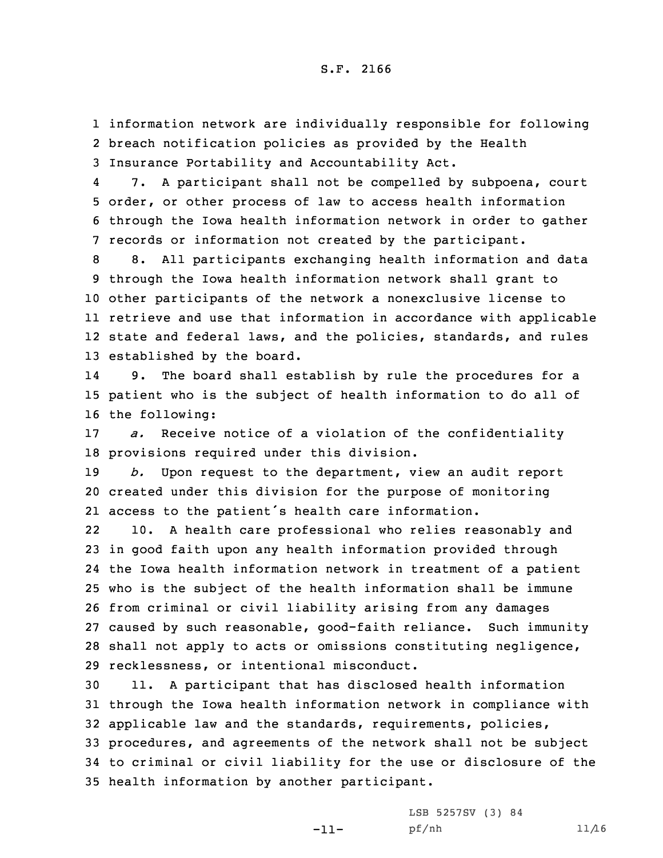1 information network are individually responsible for following 2 breach notification policies as provided by the Health 3 Insurance Portability and Accountability Act.

4 7. <sup>A</sup> participant shall not be compelled by subpoena, court 5 order, or other process of law to access health information 6 through the Iowa health information network in order to gather 7 records or information not created by the participant.

 8. All participants exchanging health information and data through the Iowa health information network shall grant to other participants of the network <sup>a</sup> nonexclusive license to retrieve and use that information in accordance with applicable state and federal laws, and the policies, standards, and rules established by the board.

14 9. The board shall establish by rule the procedures for <sup>a</sup> 15 patient who is the subject of health information to do all of 16 the following:

17 *a.* Receive notice of <sup>a</sup> violation of the confidentiality 18 provisions required under this division.

19 *b.* Upon request to the department, view an audit report 20 created under this division for the purpose of monitoring 21 access to the patient's health care information.

22 10. <sup>A</sup> health care professional who relies reasonably and in good faith upon any health information provided through the Iowa health information network in treatment of <sup>a</sup> patient who is the subject of the health information shall be immune from criminal or civil liability arising from any damages caused by such reasonable, good-faith reliance. Such immunity shall not apply to acts or omissions constituting negligence, recklessness, or intentional misconduct.

 11. <sup>A</sup> participant that has disclosed health information through the Iowa health information network in compliance with applicable law and the standards, requirements, policies, procedures, and agreements of the network shall not be subject to criminal or civil liability for the use or disclosure of the health information by another participant.

-11-

LSB 5257SV (3) 84 pf/nh 11/16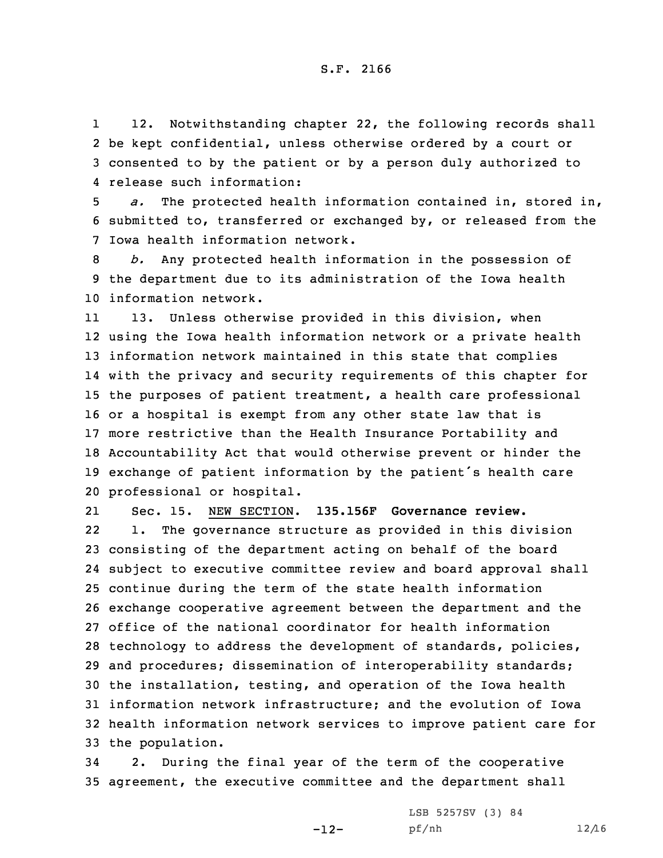1 12. Notwithstanding chapter 22, the following records shall 2 be kept confidential, unless otherwise ordered by <sup>a</sup> court or 3 consented to by the patient or by <sup>a</sup> person duly authorized to 4 release such information:

5 *a.* The protected health information contained in, stored in, 6 submitted to, transferred or exchanged by, or released from the 7 Iowa health information network.

8 *b.* Any protected health information in the possession of 9 the department due to its administration of the Iowa health 10 information network.

11 13. Unless otherwise provided in this division, when using the Iowa health information network or <sup>a</sup> private health information network maintained in this state that complies with the privacy and security requirements of this chapter for the purposes of patient treatment, <sup>a</sup> health care professional or <sup>a</sup> hospital is exempt from any other state law that is more restrictive than the Health Insurance Portability and Accountability Act that would otherwise prevent or hinder the exchange of patient information by the patient's health care professional or hospital.

21 Sec. 15. NEW SECTION. **135.156F Governance review.** 22 1. The governance structure as provided in this division consisting of the department acting on behalf of the board subject to executive committee review and board approval shall continue during the term of the state health information exchange cooperative agreement between the department and the office of the national coordinator for health information technology to address the development of standards, policies, and procedures; dissemination of interoperability standards; the installation, testing, and operation of the Iowa health information network infrastructure; and the evolution of Iowa health information network services to improve patient care for the population.

34 2. During the final year of the term of the cooperative 35 agreement, the executive committee and the department shall

-12-

LSB 5257SV (3) 84 pf/nh 12/16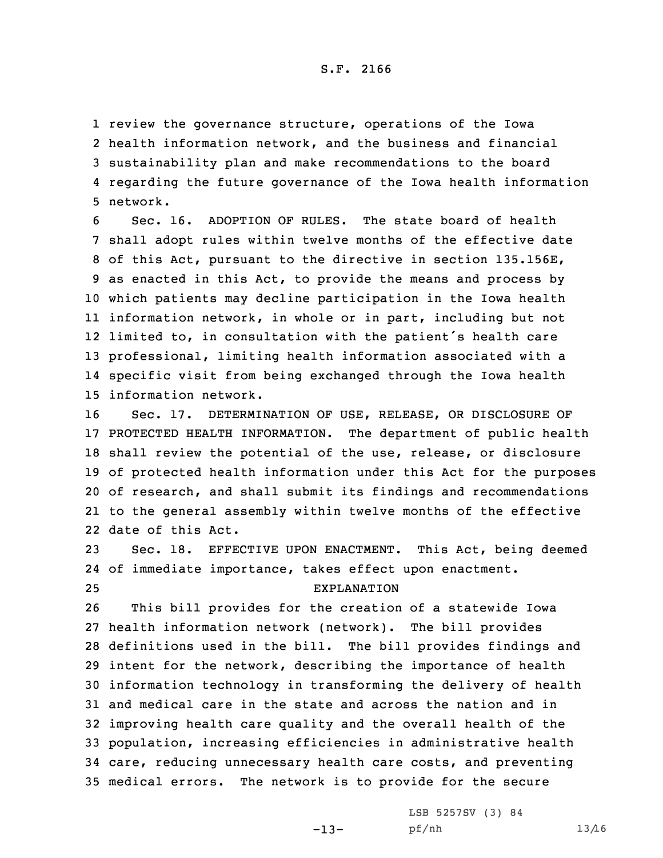review the governance structure, operations of the Iowa health information network, and the business and financial sustainability plan and make recommendations to the board regarding the future governance of the Iowa health information 5 network.

 Sec. 16. ADOPTION OF RULES. The state board of health shall adopt rules within twelve months of the effective date of this Act, pursuant to the directive in section 135.156E, as enacted in this Act, to provide the means and process by which patients may decline participation in the Iowa health information network, in whole or in part, including but not limited to, in consultation with the patient's health care professional, limiting health information associated with <sup>a</sup> specific visit from being exchanged through the Iowa health information network.

 Sec. 17. DETERMINATION OF USE, RELEASE, OR DISCLOSURE OF PROTECTED HEALTH INFORMATION. The department of public health shall review the potential of the use, release, or disclosure of protected health information under this Act for the purposes of research, and shall submit its findings and recommendations to the general assembly within twelve months of the effective date of this Act.

23 Sec. 18. EFFECTIVE UPON ENACTMENT. This Act, being deemed 24 of immediate importance, takes effect upon enactment. 25 EXPLANATION

 This bill provides for the creation of <sup>a</sup> statewide Iowa health information network (network). The bill provides definitions used in the bill. The bill provides findings and intent for the network, describing the importance of health information technology in transforming the delivery of health and medical care in the state and across the nation and in improving health care quality and the overall health of the population, increasing efficiencies in administrative health care, reducing unnecessary health care costs, and preventing medical errors. The network is to provide for the secure

-13-

LSB 5257SV (3) 84 pf/nh 13/16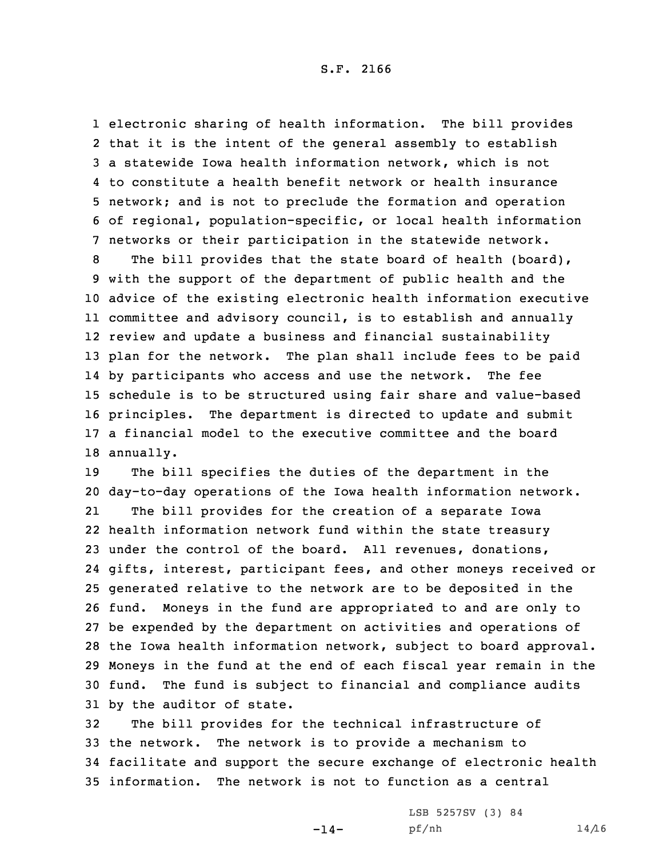electronic sharing of health information. The bill provides that it is the intent of the general assembly to establish <sup>a</sup> statewide Iowa health information network, which is not to constitute <sup>a</sup> health benefit network or health insurance network; and is not to preclude the formation and operation of regional, population-specific, or local health information networks or their participation in the statewide network.

 The bill provides that the state board of health (board), with the support of the department of public health and the advice of the existing electronic health information executive committee and advisory council, is to establish and annually review and update <sup>a</sup> business and financial sustainability plan for the network. The plan shall include fees to be paid by participants who access and use the network. The fee schedule is to be structured using fair share and value-based principles. The department is directed to update and submit <sup>a</sup> financial model to the executive committee and the board annually.

 The bill specifies the duties of the department in the day-to-day operations of the Iowa health information network. 21 The bill provides for the creation of <sup>a</sup> separate Iowa health information network fund within the state treasury under the control of the board. All revenues, donations, gifts, interest, participant fees, and other moneys received or generated relative to the network are to be deposited in the fund. Moneys in the fund are appropriated to and are only to be expended by the department on activities and operations of the Iowa health information network, subject to board approval. Moneys in the fund at the end of each fiscal year remain in the fund. The fund is subject to financial and compliance audits by the auditor of state.

 The bill provides for the technical infrastructure of the network. The network is to provide <sup>a</sup> mechanism to facilitate and support the secure exchange of electronic health information. The network is not to function as <sup>a</sup> central

 $-14-$ 

LSB 5257SV (3) 84 pf/nh 14/16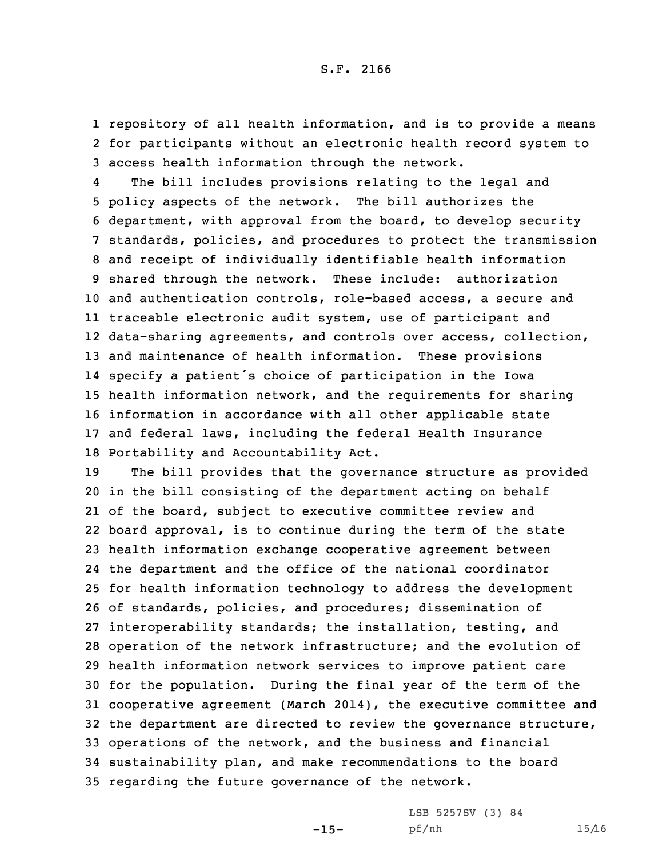1 repository of all health information, and is to provide <sup>a</sup> means 2 for participants without an electronic health record system to 3 access health information through the network.

4 The bill includes provisions relating to the legal and policy aspects of the network. The bill authorizes the department, with approval from the board, to develop security standards, policies, and procedures to protect the transmission and receipt of individually identifiable health information shared through the network. These include: authorization and authentication controls, role-based access, <sup>a</sup> secure and traceable electronic audit system, use of participant and data-sharing agreements, and controls over access, collection, and maintenance of health information. These provisions specify <sup>a</sup> patient's choice of participation in the Iowa health information network, and the requirements for sharing information in accordance with all other applicable state and federal laws, including the federal Health Insurance Portability and Accountability Act.

 The bill provides that the governance structure as provided in the bill consisting of the department acting on behalf of the board, subject to executive committee review and board approval, is to continue during the term of the state health information exchange cooperative agreement between the department and the office of the national coordinator for health information technology to address the development of standards, policies, and procedures; dissemination of interoperability standards; the installation, testing, and operation of the network infrastructure; and the evolution of health information network services to improve patient care for the population. During the final year of the term of the cooperative agreement (March 2014), the executive committee and the department are directed to review the governance structure, operations of the network, and the business and financial sustainability plan, and make recommendations to the board regarding the future governance of the network.

 $-15-$ 

LSB 5257SV (3) 84 pf/nh 15/16